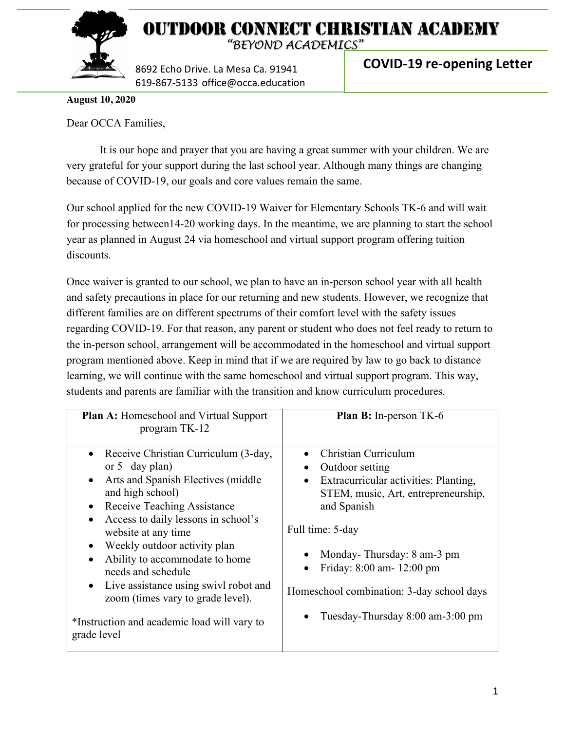

# OUTDOOR CONNECT CHRISTIAN ACADEMY

*"BEYOND ACADEMICS"*

8692 Echo Drive. La Mesa Ca. 91941 619-867-5133 office@occa.education **COVID-19 re-opening Letter**

**August 10, 2020**

Dear OCCA Families,

It is our hope and prayer that you are having a great summer with your children. We are very grateful for your support during the last school year. Although many things are changing because of COVID-19, our goals and core values remain the same.

Our school applied for the new COVID-19 Waiver for Elementary Schools TK-6 and will wait for processing between14-20 working days. In the meantime, we are planning to start the school year as planned in August 24 via homeschool and virtual support program offering tuition discounts.

Once waiver is granted to our school, we plan to have an in-person school year with all health and safety precautions in place for our returning and new students. However, we recognize that different families are on different spectrums of their comfort level with the safety issues regarding COVID-19. For that reason, any parent or student who does not feel ready to return to the in-person school, arrangement will be accommodated in the homeschool and virtual support program mentioned above. Keep in mind that if we are required by law to go back to distance learning, we will continue with the same homeschool and virtual support program. This way, students and parents are familiar with the transition and know curriculum procedures.

| <b>Plan A:</b> Homeschool and Virtual Support<br>program TK-12                                                                                                                                                                                                                                                                                                                                                                                                                                            | Plan B: In-person TK-6                                                                                                                                                                                                                                                                                                           |
|-----------------------------------------------------------------------------------------------------------------------------------------------------------------------------------------------------------------------------------------------------------------------------------------------------------------------------------------------------------------------------------------------------------------------------------------------------------------------------------------------------------|----------------------------------------------------------------------------------------------------------------------------------------------------------------------------------------------------------------------------------------------------------------------------------------------------------------------------------|
| Receive Christian Curriculum (3-day,<br>$\bullet$<br>or $5$ –day plan)<br>Arts and Spanish Electives (middle)<br>$\bullet$<br>and high school)<br>Receive Teaching Assistance<br>$\bullet$<br>Access to daily lessons in school's<br>website at any time<br>Weekly outdoor activity plan<br>Ability to accommodate to home<br>needs and schedule<br>Live assistance using swivl robot and<br>$\bullet$<br>zoom (times vary to grade level).<br>*Instruction and academic load will vary to<br>grade level | Christian Curriculum<br>Outdoor setting<br>Extracurricular activities: Planting,<br>$\bullet$<br>STEM, music, Art, entrepreneurship,<br>and Spanish<br>Full time: 5-day<br>Monday-Thursday: 8 am-3 pm<br>Friday: 8:00 am- 12:00 pm<br>$\bullet$<br>Homeschool combination: 3-day school days<br>Tuesday-Thursday 8:00 am-3:00 pm |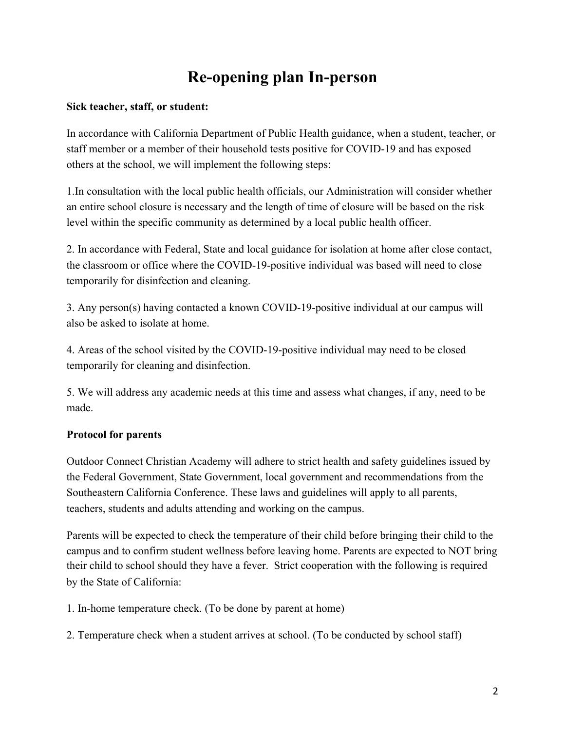# **Re-opening plan In-person**

#### **Sick teacher, staff, or student:**

In accordance with California Department of Public Health guidance, when a student, teacher, or staff member or a member of their household tests positive for COVID-19 and has exposed others at the school, we will implement the following steps:

1.In consultation with the local public health officials, our Administration will consider whether an entire school closure is necessary and the length of time of closure will be based on the risk level within the specific community as determined by a local public health officer.

2. In accordance with Federal, State and local guidance for isolation at home after close contact, the classroom or office where the COVID-19-positive individual was based will need to close temporarily for disinfection and cleaning.

3. Any person(s) having contacted a known COVID-19-positive individual at our campus will also be asked to isolate at home.

4. Areas of the school visited by the COVID-19-positive individual may need to be closed temporarily for cleaning and disinfection.

5. We will address any academic needs at this time and assess what changes, if any, need to be made.

#### **Protocol for parents**

Outdoor Connect Christian Academy will adhere to strict health and safety guidelines issued by the Federal Government, State Government, local government and recommendations from the Southeastern California Conference. These laws and guidelines will apply to all parents, teachers, students and adults attending and working on the campus.

Parents will be expected to check the temperature of their child before bringing their child to the campus and to confirm student wellness before leaving home. Parents are expected to NOT bring their child to school should they have a fever. Strict cooperation with the following is required by the State of California:

1. In-home temperature check. (To be done by parent at home)

2. Temperature check when a student arrives at school. (To be conducted by school staff)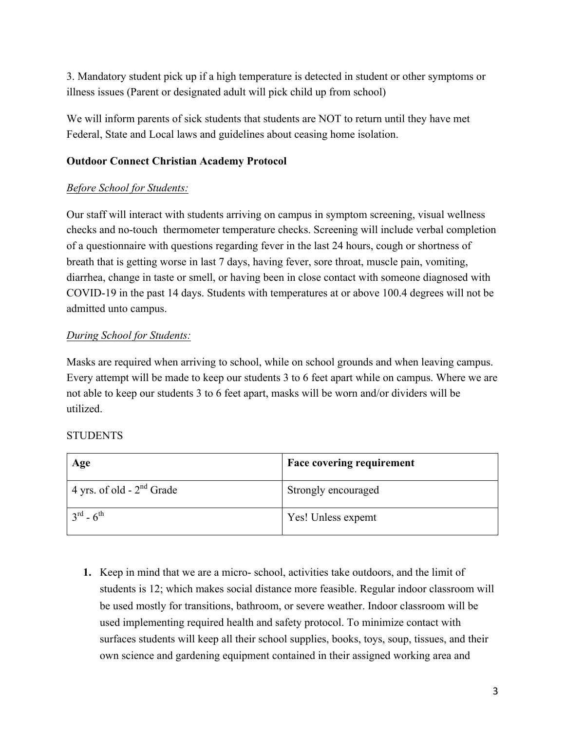3. Mandatory student pick up if a high temperature is detected in student or other symptoms or illness issues (Parent or designated adult will pick child up from school)

We will inform parents of sick students that students are NOT to return until they have met Federal, State and Local laws and guidelines about ceasing home isolation.

#### **Outdoor Connect Christian Academy Protocol**

#### *Before School for Students:*

Our staff will interact with students arriving on campus in symptom screening, visual wellness checks and no-touch thermometer temperature checks. Screening will include verbal completion of a questionnaire with questions regarding fever in the last 24 hours, cough or shortness of breath that is getting worse in last 7 days, having fever, sore throat, muscle pain, vomiting, diarrhea, change in taste or smell, or having been in close contact with someone diagnosed with COVID-19 in the past 14 days. Students with temperatures at or above 100.4 degrees will not be admitted unto campus.

#### *During School for Students:*

Masks are required when arriving to school, while on school grounds and when leaving campus. Every attempt will be made to keep our students 3 to 6 feet apart while on campus. Where we are not able to keep our students 3 to 6 feet apart, masks will be worn and/or dividers will be utilized.

#### **STUDENTS**

| Age                            | <b>Face covering requirement</b> |
|--------------------------------|----------------------------------|
| 4 yrs. of old - $2^{nd}$ Grade | Strongly encouraged              |
| $3^{rd} - 6^{th}$              | Yes! Unless expemt               |

**1.** Keep in mind that we are a micro- school, activities take outdoors, and the limit of students is 12; which makes social distance more feasible. Regular indoor classroom will be used mostly for transitions, bathroom, or severe weather. Indoor classroom will be used implementing required health and safety protocol. To minimize contact with surfaces students will keep all their school supplies, books, toys, soup, tissues, and their own science and gardening equipment contained in their assigned working area and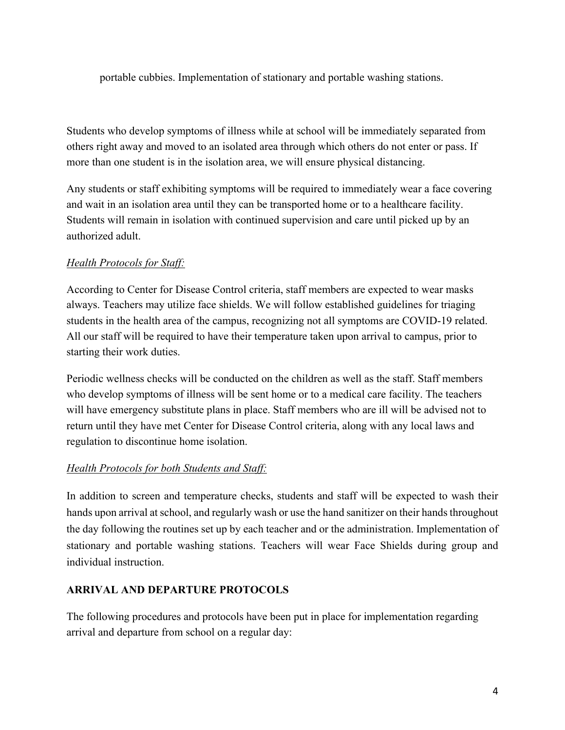portable cubbies. Implementation of stationary and portable washing stations.

Students who develop symptoms of illness while at school will be immediately separated from others right away and moved to an isolated area through which others do not enter or pass. If more than one student is in the isolation area, we will ensure physical distancing.

Any students or staff exhibiting symptoms will be required to immediately wear a face covering and wait in an isolation area until they can be transported home or to a healthcare facility. Students will remain in isolation with continued supervision and care until picked up by an authorized adult.

#### *Health Protocols for Staff:*

According to Center for Disease Control criteria, staff members are expected to wear masks always. Teachers may utilize face shields. We will follow established guidelines for triaging students in the health area of the campus, recognizing not all symptoms are COVID-19 related. All our staff will be required to have their temperature taken upon arrival to campus, prior to starting their work duties.

Periodic wellness checks will be conducted on the children as well as the staff. Staff members who develop symptoms of illness will be sent home or to a medical care facility. The teachers will have emergency substitute plans in place. Staff members who are ill will be advised not to return until they have met Center for Disease Control criteria, along with any local laws and regulation to discontinue home isolation.

#### *Health Protocols for both Students and Staff:*

In addition to screen and temperature checks, students and staff will be expected to wash their hands upon arrival at school, and regularly wash or use the hand sanitizer on their hands throughout the day following the routines set up by each teacher and or the administration. Implementation of stationary and portable washing stations. Teachers will wear Face Shields during group and individual instruction.

#### **ARRIVAL AND DEPARTURE PROTOCOLS**

The following procedures and protocols have been put in place for implementation regarding arrival and departure from school on a regular day: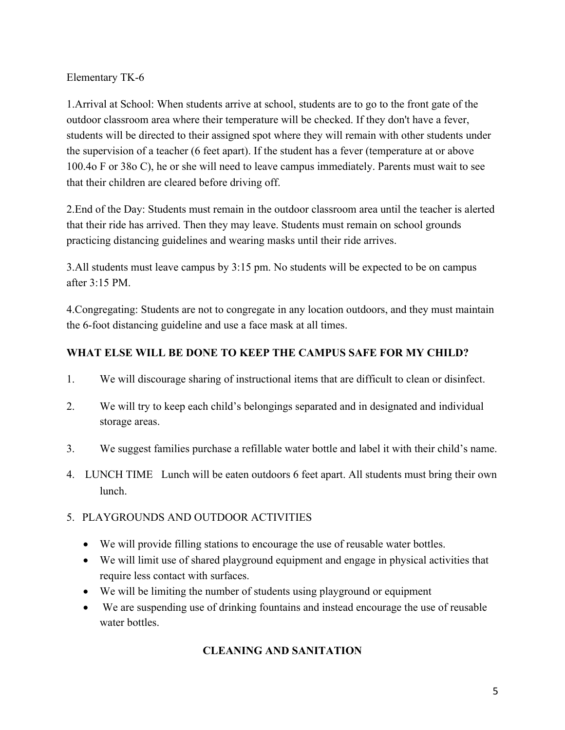Elementary TK-6

1.Arrival at School: When students arrive at school, students are to go to the front gate of the outdoor classroom area where their temperature will be checked. If they don't have a fever, students will be directed to their assigned spot where they will remain with other students under the supervision of a teacher (6 feet apart). If the student has a fever (temperature at or above 100.4o F or 38o C), he or she will need to leave campus immediately. Parents must wait to see that their children are cleared before driving off.

2.End of the Day: Students must remain in the outdoor classroom area until the teacher is alerted that their ride has arrived. Then they may leave. Students must remain on school grounds practicing distancing guidelines and wearing masks until their ride arrives.

3.All students must leave campus by 3:15 pm. No students will be expected to be on campus after  $3.15$  PM

4.Congregating: Students are not to congregate in any location outdoors, and they must maintain the 6-foot distancing guideline and use a face mask at all times.

#### **WHAT ELSE WILL BE DONE TO KEEP THE CAMPUS SAFE FOR MY CHILD?**

- 1. We will discourage sharing of instructional items that are difficult to clean or disinfect.
- 2. We will try to keep each child's belongings separated and in designated and individual storage areas.
- 3. We suggest families purchase a refillable water bottle and label it with their child's name.
- 4. LUNCH TIME Lunch will be eaten outdoors 6 feet apart. All students must bring their own lunch.
- 5. PLAYGROUNDS AND OUTDOOR ACTIVITIES
	- We will provide filling stations to encourage the use of reusable water bottles.
	- We will limit use of shared playground equipment and engage in physical activities that require less contact with surfaces.
	- We will be limiting the number of students using playground or equipment
	- We are suspending use of drinking fountains and instead encourage the use of reusable water bottles.

### **CLEANING AND SANITATION**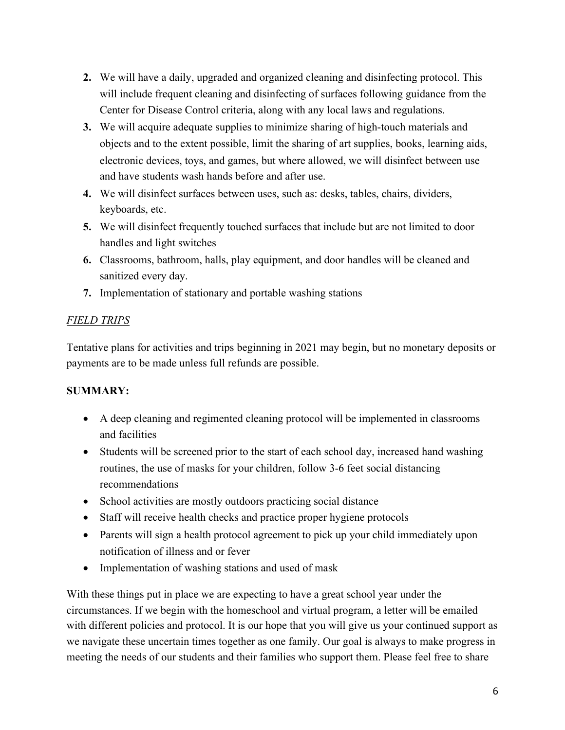- **2.** We will have a daily, upgraded and organized cleaning and disinfecting protocol. This will include frequent cleaning and disinfecting of surfaces following guidance from the Center for Disease Control criteria, along with any local laws and regulations.
- **3.** We will acquire adequate supplies to minimize sharing of high-touch materials and objects and to the extent possible, limit the sharing of art supplies, books, learning aids, electronic devices, toys, and games, but where allowed, we will disinfect between use and have students wash hands before and after use.
- **4.** We will disinfect surfaces between uses, such as: desks, tables, chairs, dividers, keyboards, etc.
- **5.** We will disinfect frequently touched surfaces that include but are not limited to door handles and light switches
- **6.** Classrooms, bathroom, halls, play equipment, and door handles will be cleaned and sanitized every day.
- **7.** Implementation of stationary and portable washing stations

## *FIELD TRIPS*

Tentative plans for activities and trips beginning in 2021 may begin, but no monetary deposits or payments are to be made unless full refunds are possible.

# **SUMMARY:**

- A deep cleaning and regimented cleaning protocol will be implemented in classrooms and facilities
- Students will be screened prior to the start of each school day, increased hand washing routines, the use of masks for your children, follow 3-6 feet social distancing recommendations
- School activities are mostly outdoors practicing social distance
- Staff will receive health checks and practice proper hygiene protocols
- Parents will sign a health protocol agreement to pick up your child immediately upon notification of illness and or fever
- Implementation of washing stations and used of mask

With these things put in place we are expecting to have a great school year under the circumstances. If we begin with the homeschool and virtual program, a letter will be emailed with different policies and protocol. It is our hope that you will give us your continued support as we navigate these uncertain times together as one family. Our goal is always to make progress in meeting the needs of our students and their families who support them. Please feel free to share